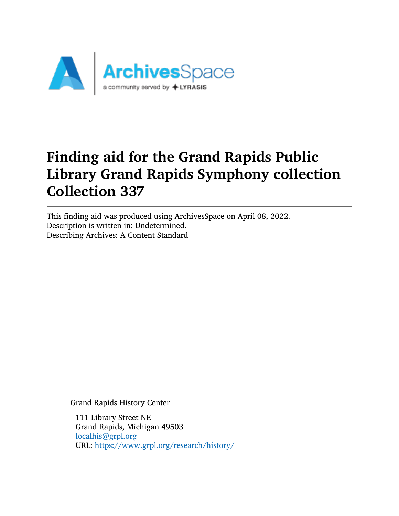

This finding aid was produced using ArchivesSpace on April 08, 2022. Description is written in: Undetermined. Describing Archives: A Content Standard

Grand Rapids History Center

111 Library Street NE Grand Rapids, Michigan 49503 [localhis@grpl.org](mailto:localhis@grpl.org) URL: <https://www.grpl.org/research/history/>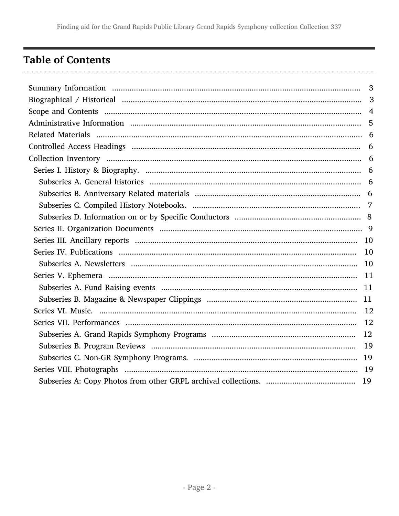# <span id="page-1-0"></span>**Table of Contents**

| $\overline{3}$ |
|----------------|
| 3              |
|                |
|                |
|                |
|                |
|                |
|                |
|                |
|                |
|                |
|                |
|                |
|                |
|                |
|                |
|                |
|                |
|                |
|                |
|                |
|                |
|                |
|                |
|                |
|                |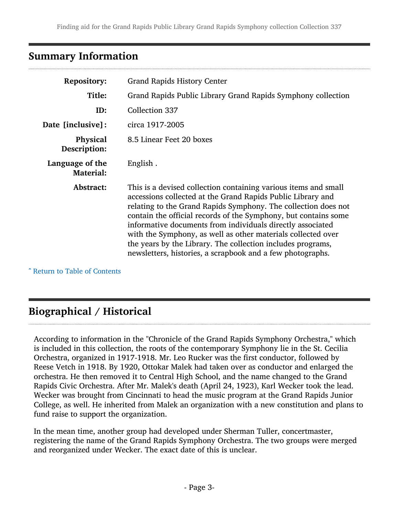## <span id="page-2-0"></span>Summary Information

| <b>Repository:</b>                  | <b>Grand Rapids History Center</b>                                                                                                                                                                                                                                                                                                                                                                                                                                                                                             |
|-------------------------------------|--------------------------------------------------------------------------------------------------------------------------------------------------------------------------------------------------------------------------------------------------------------------------------------------------------------------------------------------------------------------------------------------------------------------------------------------------------------------------------------------------------------------------------|
| Title:                              | Grand Rapids Public Library Grand Rapids Symphony collection                                                                                                                                                                                                                                                                                                                                                                                                                                                                   |
| ID:                                 | Collection 337                                                                                                                                                                                                                                                                                                                                                                                                                                                                                                                 |
| Date [inclusive]:                   | circa 1917-2005                                                                                                                                                                                                                                                                                                                                                                                                                                                                                                                |
| Physical<br>Description:            | 8.5 Linear Feet 20 boxes                                                                                                                                                                                                                                                                                                                                                                                                                                                                                                       |
| Language of the<br><b>Material:</b> | English.                                                                                                                                                                                                                                                                                                                                                                                                                                                                                                                       |
| Abstract:                           | This is a devised collection containing various items and small<br>accessions collected at the Grand Rapids Public Library and<br>relating to the Grand Rapids Symphony. The collection does not<br>contain the official records of the Symphony, but contains some<br>informative documents from individuals directly associated<br>with the Symphony, as well as other materials collected over<br>the years by the Library. The collection includes programs,<br>newsletters, histories, a scrapbook and a few photographs. |

^ [Return to Table of Contents](#page-1-0)

# <span id="page-2-1"></span>Biographical / Historical

According to information in the "Chronicle of the Grand Rapids Symphony Orchestra," which is included in this collection, the roots of the contemporary Symphony lie in the St. Cecilia Orchestra, organized in 1917-1918. Mr. Leo Rucker was the first conductor, followed by Reese Vetch in 1918. By 1920, Ottokar Malek had taken over as conductor and enlarged the orchestra. He then removed it to Central High School, and the name changed to the Grand Rapids Civic Orchestra. After Mr. Malek's death (April 24, 1923), Karl Wecker took the lead. Wecker was brought from Cincinnati to head the music program at the Grand Rapids Junior College, as well. He inherited from Malek an organization with a new constitution and plans to fund raise to support the organization.

In the mean time, another group had developed under Sherman Tuller, concertmaster, registering the name of the Grand Rapids Symphony Orchestra. The two groups were merged and reorganized under Wecker. The exact date of this is unclear.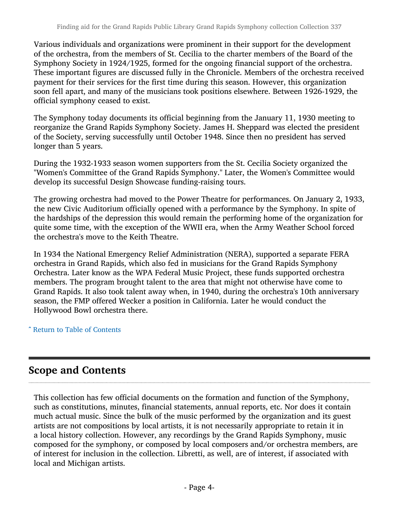Various individuals and organizations were prominent in their support for the development of the orchestra, from the members of St. Cecilia to the charter members of the Board of the Symphony Society in 1924/1925, formed for the ongoing financial support of the orchestra. These important figures are discussed fully in the Chronicle. Members of the orchestra received payment for their services for the first time during this season. However, this organization soon fell apart, and many of the musicians took positions elsewhere. Between 1926-1929, the official symphony ceased to exist.

The Symphony today documents its official beginning from the January 11, 1930 meeting to reorganize the Grand Rapids Symphony Society. James H. Sheppard was elected the president of the Society, serving successfully until October 1948. Since then no president has served longer than 5 years.

During the 1932-1933 season women supporters from the St. Cecilia Society organized the "Women's Committee of the Grand Rapids Symphony." Later, the Women's Committee would develop its successful Design Showcase funding-raising tours.

The growing orchestra had moved to the Power Theatre for performances. On January 2, 1933, the new Civic Auditorium officially opened with a performance by the Symphony. In spite of the hardships of the depression this would remain the performing home of the organization for quite some time, with the exception of the WWII era, when the Army Weather School forced the orchestra's move to the Keith Theatre.

In 1934 the National Emergency Relief Administration (NERA), supported a separate FERA orchestra in Grand Rapids, which also fed in musicians for the Grand Rapids Symphony Orchestra. Later know as the WPA Federal Music Project, these funds supported orchestra members. The program brought talent to the area that might not otherwise have come to Grand Rapids. It also took talent away when, in 1940, during the orchestra's 10th anniversary season, the FMP offered Wecker a position in California. Later he would conduct the Hollywood Bowl orchestra there.

^ [Return to Table of Contents](#page-1-0)

### <span id="page-3-0"></span>Scope and Contents

This collection has few official documents on the formation and function of the Symphony, such as constitutions, minutes, financial statements, annual reports, etc. Nor does it contain much actual music. Since the bulk of the music performed by the organization and its guest artists are not compositions by local artists, it is not necessarily appropriate to retain it in a local history collection. However, any recordings by the Grand Rapids Symphony, music composed for the symphony, or composed by local composers and/or orchestra members, are of interest for inclusion in the collection. Libretti, as well, are of interest, if associated with local and Michigan artists.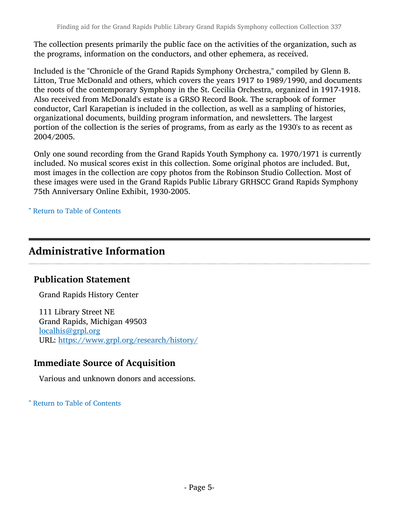The collection presents primarily the public face on the activities of the organization, such as the programs, information on the conductors, and other ephemera, as received.

Included is the "Chronicle of the Grand Rapids Symphony Orchestra," compiled by Glenn B. Litton, True McDonald and others, which covers the years 1917 to 1989/1990, and documents the roots of the contemporary Symphony in the St. Cecilia Orchestra, organized in 1917-1918. Also received from McDonald's estate is a GRSO Record Book. The scrapbook of former conductor, Carl Karapetian is included in the collection, as well as a sampling of histories, organizational documents, building program information, and newsletters. The largest portion of the collection is the series of programs, from as early as the 1930's to as recent as 2004/2005.

Only one sound recording from the Grand Rapids Youth Symphony ca. 1970/1971 is currently included. No musical scores exist in this collection. Some original photos are included. But, most images in the collection are copy photos from the Robinson Studio Collection. Most of these images were used in the Grand Rapids Public Library GRHSCC Grand Rapids Symphony 75th Anniversary Online Exhibit, 1930-2005.

^ [Return to Table of Contents](#page-1-0)

## <span id="page-4-0"></span>Administrative Information

#### Publication Statement

Grand Rapids History Center

111 Library Street NE Grand Rapids, Michigan 49503 [localhis@grpl.org](mailto:localhis@grpl.org) URL: <https://www.grpl.org/research/history/>

### Immediate Source of Acquisition

Various and unknown donors and accessions.

^ [Return to Table of Contents](#page-1-0)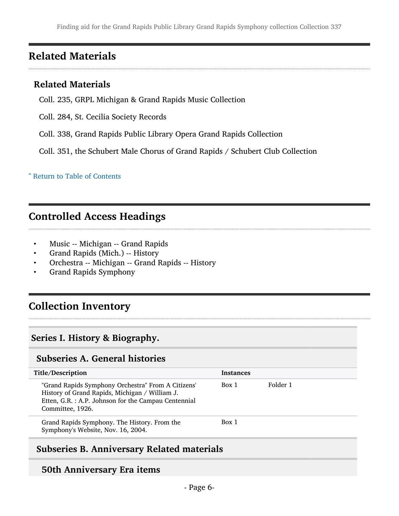## <span id="page-5-0"></span>Related Materials

#### Related Materials

- Coll. 235, GRPL Michigan & Grand Rapids Music Collection
- Coll. 284, St. Cecilia Society Records
- Coll. 338, Grand Rapids Public Library Opera Grand Rapids Collection

Coll. 351, the Schubert Male Chorus of Grand Rapids / Schubert Club Collection

^ [Return to Table of Contents](#page-1-0)

# <span id="page-5-1"></span>Controlled Access Headings

- Music -- Michigan -- Grand Rapids
- Grand Rapids (Mich.) -- History
- Orchestra -- Michigan -- Grand Rapids -- History
- Grand Rapids Symphony

### <span id="page-5-2"></span>Collection Inventory

#### <span id="page-5-3"></span>Series I. History & Biography.

### <span id="page-5-4"></span>Subseries A. General histories

| Title/Description                                                                                                                                                                | <b>Instances</b> |          |
|----------------------------------------------------------------------------------------------------------------------------------------------------------------------------------|------------------|----------|
| "Grand Rapids Symphony Orchestra" From A Citizens'<br>History of Grand Rapids, Michigan / William J.<br>Etten, G.R. : A.P. Johnson for the Campau Centennial<br>Committee, 1926. | Box 1            | Folder 1 |
| Grand Rapids Symphony. The History. From the<br>Symphony's Website, Nov. 16, 2004.                                                                                               | Box 1            |          |

#### <span id="page-5-5"></span>Subseries B. Anniversary Related materials

#### 50th Anniversary Era items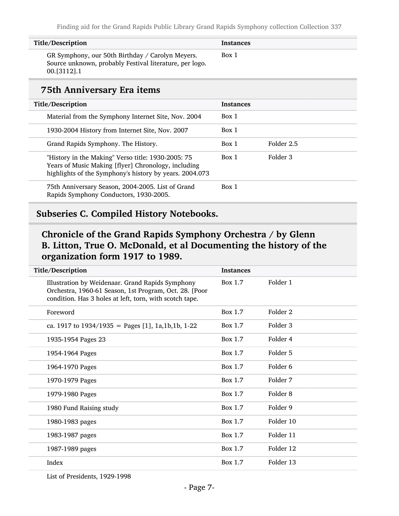| Title/Description                                                                                                              | <b>Instances</b> |
|--------------------------------------------------------------------------------------------------------------------------------|------------------|
| GR Symphony, our 50th Birthday / Carolyn Meyers.<br>Source unknown, probably Festival literature, per logo.<br>$00. [3112]$ .1 | Box 1            |

#### 75th Anniversary Era items

| Title/Description                                                                                                                                                    | <b>Instances</b> |            |
|----------------------------------------------------------------------------------------------------------------------------------------------------------------------|------------------|------------|
| Material from the Symphony Internet Site, Nov. 2004                                                                                                                  | Box 1            |            |
| 1930-2004 History from Internet Site, Nov. 2007                                                                                                                      | Box 1            |            |
| Grand Rapids Symphony. The History.                                                                                                                                  | Box 1            | Folder 2.5 |
| "History in the Making" Verso title: 1930-2005: 75<br>Years of Music Making [flyer] Chronology, including<br>highlights of the Symphony's history by years. 2004.073 | Box 1            | Folder 3   |
| 75th Anniversary Season, 2004-2005. List of Grand<br>Rapids Symphony Conductors, 1930-2005.                                                                          | Box 1            |            |

#### <span id="page-6-0"></span>Subseries C. Compiled History Notebooks.

### Chronicle of the Grand Rapids Symphony Orchestra / by Glenn B. Litton, True O. McDonald, et al Documenting the history of the organization form 1917 to 1989.

| Title/Description                                                                                                                                                     | <b>Instances</b> |           |
|-----------------------------------------------------------------------------------------------------------------------------------------------------------------------|------------------|-----------|
| Illustration by Weidenaar. Grand Rapids Symphony<br>Orchestra, 1960-61 Season, 1st Program, Oct. 28. [Poor<br>condition. Has 3 holes at left, torn, with scotch tape. | Box 1.7          | Folder 1  |
| Foreword                                                                                                                                                              | Box 1.7          | Folder 2  |
| ca. 1917 to $1934/1935$ = Pages [1], 1a, 1b, 1b, 1-22                                                                                                                 | Box 1.7          | Folder 3  |
| 1935-1954 Pages 23                                                                                                                                                    | Box 1.7          | Folder 4  |
| 1954-1964 Pages                                                                                                                                                       | Box 1.7          | Folder 5  |
| 1964-1970 Pages                                                                                                                                                       | Box 1.7          | Folder 6  |
| 1970-1979 Pages                                                                                                                                                       | Box 1.7          | Folder 7  |
| 1979-1980 Pages                                                                                                                                                       | Box 1.7          | Folder 8  |
| 1980 Fund Raising study                                                                                                                                               | Box 1.7          | Folder 9  |
| 1980-1983 pages                                                                                                                                                       | Box 1.7          | Folder 10 |
| 1983-1987 pages                                                                                                                                                       | Box 1.7          | Folder 11 |
| 1987-1989 pages                                                                                                                                                       | Box 1.7          | Folder 12 |
| Index                                                                                                                                                                 | Box 1.7          | Folder 13 |
|                                                                                                                                                                       |                  |           |

List of Presidents, 1929-1998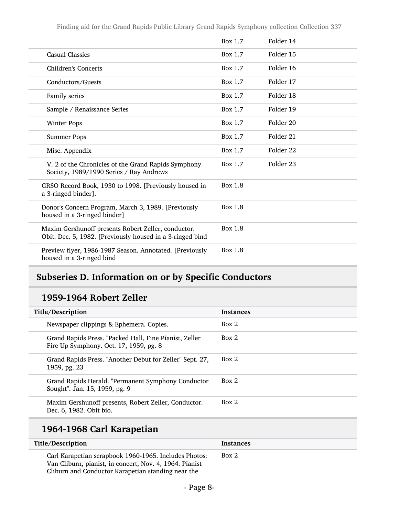|                                                                                                                  | Box 1.7 | Folder 14 |
|------------------------------------------------------------------------------------------------------------------|---------|-----------|
| <b>Casual Classics</b>                                                                                           | Box 1.7 | Folder 15 |
| <b>Children's Concerts</b>                                                                                       | Box 1.7 | Folder 16 |
| Conductors/Guests                                                                                                | Box 1.7 | Folder 17 |
| Family series                                                                                                    | Box 1.7 | Folder 18 |
| Sample / Renaissance Series                                                                                      | Box 1.7 | Folder 19 |
| <b>Winter Pops</b>                                                                                               | Box 1.7 | Folder 20 |
| <b>Summer Pops</b>                                                                                               | Box 1.7 | Folder 21 |
| Misc. Appendix                                                                                                   | Box 1.7 | Folder 22 |
| V. 2 of the Chronicles of the Grand Rapids Symphony<br>Society, 1989/1990 Series / Ray Andrews                   | Box 1.7 | Folder 23 |
| GRSO Record Book, 1930 to 1998. [Previously housed in<br>a 3-ringed binder].                                     | Box 1.8 |           |
| Donor's Concern Program, March 3, 1989. [Previously<br>housed in a 3-ringed binder]                              | Box 1.8 |           |
| Maxim Gershunoff presents Robert Zeller, conductor.<br>Obit. Dec. 5, 1982. [Previously housed in a 3-ringed bind | Box 1.8 |           |
| Preview flyer, 1986-1987 Season. Annotated. [Previously<br>housed in a 3-ringed bind                             | Box 1.8 |           |

# <span id="page-7-0"></span>Subseries D. Information on or by Specific Conductors

#### 1959-1964 Robert Zeller

| Title/Description                                                                                | <b>Instances</b> |
|--------------------------------------------------------------------------------------------------|------------------|
| Newspaper clippings & Ephemera. Copies.                                                          | Box 2            |
| Grand Rapids Press. "Packed Hall, Fine Pianist, Zeller<br>Fire Up Symphony. Oct. 17, 1959, pg. 8 | Box 2            |
| Grand Rapids Press. "Another Debut for Zeller" Sept. 27,<br>1959, pg. 23                         | Box 2            |
| Grand Rapids Herald. "Permanent Symphony Conductor<br>Sought". Jan. 15, 1959, pg. 9              | Box 2            |
| Maxim Gershunoff presents, Robert Zeller, Conductor.<br>Dec. 6, 1982. Obit bio.                  | Box 2            |

# 1964-1968 Carl Karapetian

| Title/Description                                                                                                                                                      | <b>Instances</b> |
|------------------------------------------------------------------------------------------------------------------------------------------------------------------------|------------------|
| Carl Karapetian scrapbook 1960-1965. Includes Photos:<br>Van Cliburn, pianist, in concert, Nov. 4, 1964. Pianist<br>Cliburn and Conductor Karapetian standing near the | Box 2            |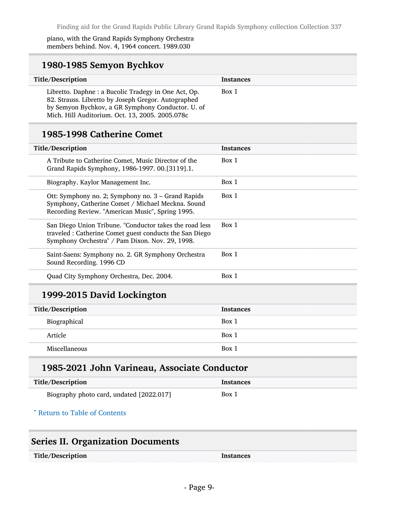piano, with the Grand Rapids Symphony Orchestra members behind. Nov. 4, 1964 concert. 1989.030

#### 1980-1985 Semyon Bychkov

| Title/Description                                                                                                                                                                                                   | <b>Instances</b> |
|---------------------------------------------------------------------------------------------------------------------------------------------------------------------------------------------------------------------|------------------|
| Libretto. Daphne : a Bucolic Tradegy in One Act, Op.<br>82. Strauss. Libretto by Joseph Gregor. Autographed<br>by Semyon Bychkov, a GR Symphony Conductor. U. of<br>Mich. Hill Auditorium. Oct. 13, 2005. 2005.078c | Box 1            |

#### 1985-1998 Catherine Comet

| Title/Description                                                                                                                                                     | <b>Instances</b> |
|-----------------------------------------------------------------------------------------------------------------------------------------------------------------------|------------------|
| A Tribute to Catherine Comet, Music Director of the<br>Grand Rapids Symphony, 1986-1997. 00.[3119].1.                                                                 | Box 1            |
| Biography. Kaylor Management Inc.                                                                                                                                     | Box 1            |
| Ott: Symphony no. 2; Symphony no. 3 – Grand Rapids<br>Symphony, Catherine Comet / Michael Meckna. Sound<br>Recording Review. "American Music", Spring 1995.           | Box 1            |
| San Diego Union Tribune. "Conductor takes the road less<br>traveled : Catherine Comet guest conducts the San Diego<br>Symphony Orchestra" / Pam Dixon. Nov. 29, 1998. | Box 1            |
| Saint-Saens: Symphony no. 2. GR Symphony Orchestra<br>Sound Recording. 1996 CD                                                                                        | Box 1            |
| Quad City Symphony Orchestra, Dec. 2004.                                                                                                                              | Box 1            |

### 1999-2015 David Lockington

| Title/Description | <b>Instances</b> |
|-------------------|------------------|
| Biographical      | Box 1            |
| Article           | Box 1            |
| Miscellaneous     | Box 1            |

#### 1985-2021 John Varineau, Associate Conductor

| Title/Description                        | Instances |
|------------------------------------------|-----------|
| Biography photo card, undated [2022.017] | Box 1     |

#### ^ [Return to Table of Contents](#page-1-0)

### <span id="page-8-0"></span>Series II. Organization Documents

| Title/Description | Instances |
|-------------------|-----------|
|-------------------|-----------|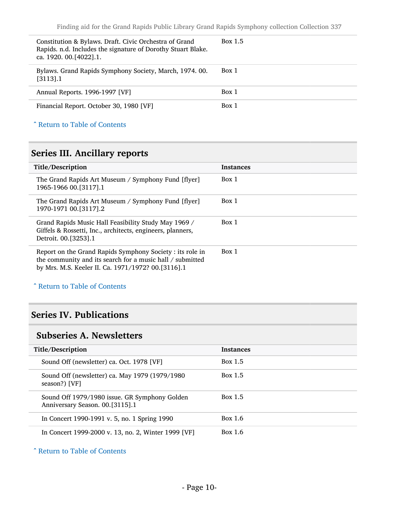| Constitution & Bylaws. Draft. Civic Orchestra of Grand<br>Rapids. n.d. Includes the signature of Dorothy Stuart Blake.<br>ca. 1920. 00. [4022]. 1. | Box 1.5 |
|----------------------------------------------------------------------------------------------------------------------------------------------------|---------|
| Bylaws. Grand Rapids Symphony Society, March, 1974. 00.<br>$[3113]$ .1                                                                             | Box 1   |
| Annual Reports. 1996-1997 [VF]                                                                                                                     | Box 1   |
| Financial Report. October 30, 1980 [VF]                                                                                                            | Box 1   |

#### ^ [Return to Table of Contents](#page-1-0)

## <span id="page-9-0"></span>Series III. Ancillary reports

| Title/Description                                                                                                                                                            | <b>Instances</b> |
|------------------------------------------------------------------------------------------------------------------------------------------------------------------------------|------------------|
| The Grand Rapids Art Museum / Symphony Fund [flyer]<br>1965-1966 00. [3117]. 1                                                                                               | Box 1            |
| The Grand Rapids Art Museum / Symphony Fund [flyer]<br>1970-1971 00. [3117]. 2                                                                                               | Box 1            |
| Grand Rapids Music Hall Feasibility Study May 1969 /<br>Giffels & Rossetti, Inc., architects, engineers, planners,<br>Detroit. 00. [3253]. 1                                 | Box 1            |
| Report on the Grand Rapids Symphony Society : its role in<br>the community and its search for a music hall / submitted<br>by Mrs. M.S. Keeler II. Ca. 1971/1972? 00.[3116].1 | Box 1            |

#### ^ [Return to Table of Contents](#page-1-0)

### <span id="page-9-1"></span>Series IV. Publications

### <span id="page-9-2"></span>Subseries A. Newsletters

| Title/Description                                                                | <b>Instances</b> |
|----------------------------------------------------------------------------------|------------------|
| Sound Off (newsletter) ca. Oct. 1978 [VF]                                        | <b>Box 1.5</b>   |
| Sound Off (newsletter) ca. May 1979 (1979/1980<br>season?) [VF]                  | <b>Box 1.5</b>   |
| Sound Off 1979/1980 issue. GR Symphony Golden<br>Anniversary Season. 00.[3115].1 | <b>Box 1.5</b>   |
| In Concert 1990-1991 v. 5, no. 1 Spring 1990                                     | Box 1.6          |
| In Concert 1999-2000 v. 13, no. 2, Winter 1999 [VF]                              | Box 1.6          |

^ [Return to Table of Contents](#page-1-0)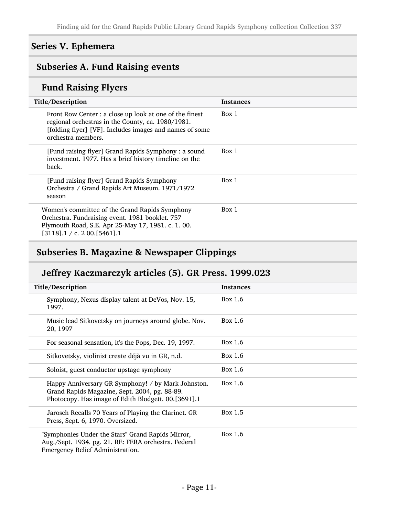### <span id="page-10-0"></span>Series V. Ephemera

### <span id="page-10-1"></span>Subseries A. Fund Raising events

# Fund Raising Flyers

| Title/Description                                                                                                                                                                             | <b>Instances</b> |
|-----------------------------------------------------------------------------------------------------------------------------------------------------------------------------------------------|------------------|
| Front Row Center : a close up look at one of the finest<br>regional orchestras in the County, ca. 1980/1981.<br>[folding flyer] [VF]. Includes images and names of some<br>orchestra members. | Box 1            |
| [Fund raising flyer] Grand Rapids Symphony : a sound<br>investment. 1977. Has a brief history timeline on the<br>back.                                                                        | Box 1            |
| [Fund raising flyer] Grand Rapids Symphony<br>Orchestra / Grand Rapids Art Museum. 1971/1972<br>season                                                                                        | Box 1            |
| Women's committee of the Grand Rapids Symphony<br>Orchestra. Fundraising event. 1981 booklet. 757<br>Plymouth Road, S.E. Apr 25-May 17, 1981. c. 1. 00.<br>$[3118]$ .1 / c. 2 00. [5461].1    | Box 1            |

## <span id="page-10-2"></span>Subseries B. Magazine & Newspaper Clippings

## Jeffrey Kaczmarczyk articles (5). GR Press. 1999.023

| Title/Description                                                                                                                                          | <b>Instances</b> |
|------------------------------------------------------------------------------------------------------------------------------------------------------------|------------------|
| Symphony, Nexus display talent at DeVos, Nov. 15,<br>1997.                                                                                                 | Box $1.6$        |
| Music lead Sitkovetsky on journeys around globe. Nov.<br>20, 1997                                                                                          | Box $1.6$        |
| For seasonal sensation, it's the Pops, Dec. 19, 1997.                                                                                                      | Box $1.6$        |
| Sitkovetsky, violinist create déjà vu in GR, n.d.                                                                                                          | Box 1.6          |
| Soloist, guest conductor upstage symphony                                                                                                                  | Box $1.6$        |
| Happy Anniversary GR Symphony! / by Mark Johnston.<br>Grand Rapids Magazine, Sept. 2004, pg. 88-89.<br>Photocopy. Has image of Edith Blodgett. 00.[3691].1 | Box $1.6$        |
| Jarosch Recalls 70 Years of Playing the Clarinet. GR<br>Press, Sept. 6, 1970. Oversized.                                                                   | Box 1.5          |
| "Symphonies Under the Stars" Grand Rapids Mirror,<br>Aug./Sept. 1934. pg. 21. RE: FERA orchestra. Federal<br><b>Emergency Relief Administration.</b>       | Box 1.6          |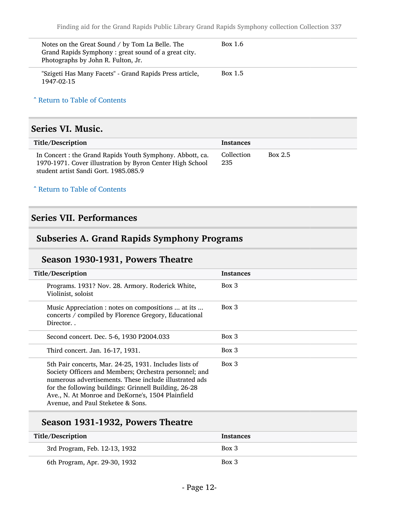| Notes on the Great Sound / by Tom La Belle. The<br>Grand Rapids Symphony: great sound of a great city.<br>Photographs by John R. Fulton, Jr. | Box 1.6 |
|----------------------------------------------------------------------------------------------------------------------------------------------|---------|
| "Szigeti Has Many Facets" - Grand Rapids Press article,<br>1947-02-15                                                                        | Box 1.5 |

^ [Return to Table of Contents](#page-1-0)

#### <span id="page-11-0"></span>Series VI. Music.

| Title/Description                                                                                                                                               | <b>Instances</b>  |                |
|-----------------------------------------------------------------------------------------------------------------------------------------------------------------|-------------------|----------------|
| In Concert : the Grand Rapids Youth Symphony. Abbott, ca.<br>1970-1971. Cover illustration by Byron Center High School<br>student artist Sandi Gort. 1985.085.9 | Collection<br>235 | <b>Box 2.5</b> |

#### ^ [Return to Table of Contents](#page-1-0)

#### <span id="page-11-1"></span>Series VII. Performances

### <span id="page-11-2"></span>Subseries A. Grand Rapids Symphony Programs

#### Season 1930-1931, Powers Theatre

| Title/Description                                                                                                                                                                                                                                                                                                             | <b>Instances</b> |
|-------------------------------------------------------------------------------------------------------------------------------------------------------------------------------------------------------------------------------------------------------------------------------------------------------------------------------|------------------|
| Programs. 1931? Nov. 28. Armory. Roderick White,<br>Violinist, soloist                                                                                                                                                                                                                                                        | $Box$ 3          |
| Music Appreciation : notes on compositions  at its<br>concerts / compiled by Florence Gregory, Educational<br>Director                                                                                                                                                                                                        | Box 3            |
| Second concert. Dec. 5-6, 1930 P2004.033                                                                                                                                                                                                                                                                                      | Box 3            |
| Third concert. Jan. 16-17, 1931.                                                                                                                                                                                                                                                                                              | Box 3            |
| 5th Pair concerts, Mar. 24-25, 1931. Includes lists of<br>Society Officers and Members; Orchestra personnel; and<br>numerous advertisements. These include illustrated ads<br>for the following buildings: Grinnell Building, 26-28<br>Ave., N. At Monroe and DeKorne's, 1504 Plainfield<br>Avenue, and Paul Steketee & Sons. | Box 3            |

### Season 1931-1932, Powers Theatre

| Title/Description             | <b>Instances</b> |
|-------------------------------|------------------|
| 3rd Program, Feb. 12-13, 1932 | $Box\ 3$         |
| 6th Program, Apr. 29-30, 1932 | $Box\ 3$         |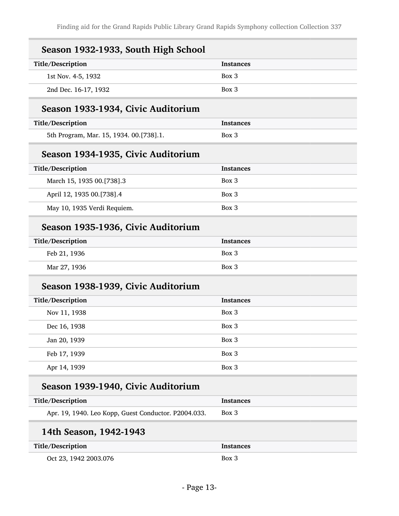| Season 1932-1933, South High School                  |                  |
|------------------------------------------------------|------------------|
| Title/Description                                    | <b>Instances</b> |
| 1st Nov. 4-5, 1932                                   | Box 3            |
| 2nd Dec. 16-17, 1932                                 | Box 3            |
| Season 1933-1934, Civic Auditorium                   |                  |
| Title/Description                                    | <b>Instances</b> |
| 5th Program, Mar. 15, 1934. 00.[738].1.              | Box 3            |
| Season 1934-1935, Civic Auditorium                   |                  |
| Title/Description                                    | <b>Instances</b> |
| March 15, 1935 00.[738].3                            | Box 3            |
| April 12, 1935 00.[738].4                            | Box 3            |
| May 10, 1935 Verdi Requiem.                          | Box 3            |
| Season 1935-1936, Civic Auditorium                   |                  |
| Title/Description                                    | <b>Instances</b> |
| Feb 21, 1936                                         | Box 3            |
| Mar 27, 1936                                         | Box 3            |
| Season 1938-1939, Civic Auditorium                   |                  |
| Title/Description                                    | <b>Instances</b> |
| Nov 11, 1938                                         | Box 3            |
| Dec 16, 1938                                         | Box 3            |
| Jan 20, 1939                                         | Box 3            |
| Feb 17, 1939                                         | Box 3            |
| Apr 14, 1939                                         | Box 3            |
| Season 1939-1940, Civic Auditorium                   |                  |
| Title/Description                                    | <b>Instances</b> |
| Apr. 19, 1940. Leo Kopp, Guest Conductor. P2004.033. | Box 3            |
| 14th Season, 1942-1943                               |                  |
| Title/Description                                    | <b>Instances</b> |
| Oct 23, 1942 2003.076                                | Box 3            |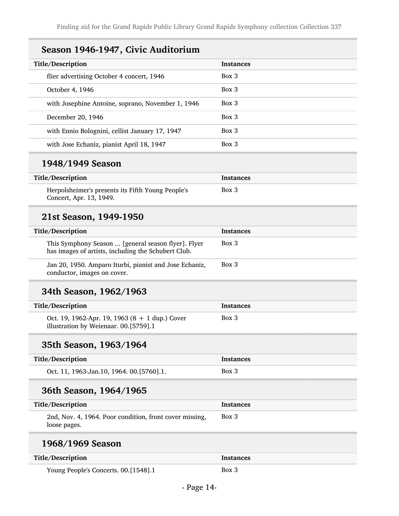| Season 1946-1947, Civic Auditorium                                                                         |                  |
|------------------------------------------------------------------------------------------------------------|------------------|
| Title/Description                                                                                          | <b>Instances</b> |
| flier advertising October 4 concert, 1946                                                                  | Box 3            |
| October 4, 1946                                                                                            | Box 3            |
| with Josephine Antoine, soprano, November 1, 1946                                                          | Box 3            |
| December 20, 1946                                                                                          | Box 3            |
| with Ennio Bolognini, cellist January 17, 1947                                                             | Box 3            |
| with Jose Echaniz, pianist April 18, 1947                                                                  | Box 3            |
| 1948/1949 Season                                                                                           |                  |
| Title/Description                                                                                          | Instances        |
| Herpolsheimer's presents its Fifth Young People's<br>Concert, Apr. 13, 1949.                               | Box 3            |
| 21st Season, 1949-1950                                                                                     |                  |
| <b>Title/Description</b>                                                                                   | <b>Instances</b> |
| This Symphony Season  [general season flyer]. Flyer<br>has images of artists, including the Schubert Club. | Box 3            |
| Jan 20, 1950. Amparo Iturbi, pianist and Jose Echaniz,<br>conductor, images on cover.                      | Box 3            |
| 34th Season, 1962/1963                                                                                     |                  |
| Title/Description                                                                                          | <b>Instances</b> |
| Oct. 19, 1962-Apr. 19, 1963 (8 + 1 dup.) Cover<br>illustration by Weienaar. 00.[5759].1                    | Box 3            |
| 35th Season, 1963/1964                                                                                     |                  |
| Title/Description                                                                                          | <b>Instances</b> |
| Oct. 11, 1963-Jan.10, 1964. 00.[5760].1.                                                                   | Box 3            |
| 36th Season, 1964/1965                                                                                     |                  |
| Title/Description                                                                                          | <b>Instances</b> |
| 2nd, Nov. 4, 1964. Poor condition, front cover missing,<br>loose pages.                                    | $Box$ 3          |
| 1968/1969 Season                                                                                           |                  |
| Title/Description                                                                                          | <b>Instances</b> |
| Young People's Concerts. 00.[1548].1                                                                       | Box 3            |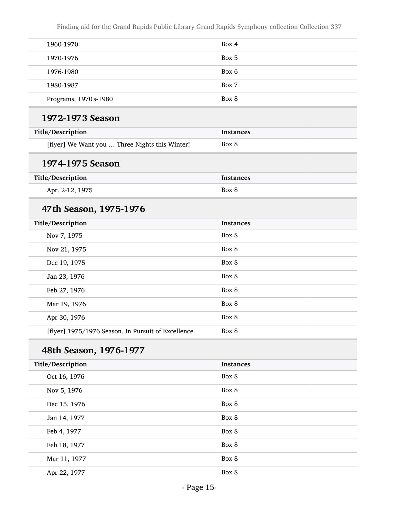| 1960-1970                                           | Box 4            |
|-----------------------------------------------------|------------------|
| 1970-1976                                           | Box 5            |
| 1976-1980                                           | Box 6            |
| 1980-1987                                           | Box 7            |
| Programs, 1970's-1980                               | Box 8            |
| 1972-1973 Season                                    |                  |
| Title/Description                                   | <b>Instances</b> |
| [flyer] We Want you  Three Nights this Winter!      | Box 8            |
| 1974-1975 Season                                    |                  |
| Title/Description                                   | <b>Instances</b> |
| Apr. 2-12, 1975                                     | Box 8            |
| 47th Season, 1975-1976                              |                  |
| Title/Description                                   | <b>Instances</b> |
| Nov 7, 1975                                         | Box 8            |
| Nov 21, 1975                                        | Box 8            |
| Dec 19, 1975                                        | Box 8            |
| Jan 23, 1976                                        | Box 8            |
| Feb 27, 1976                                        | Box 8            |
| Mar 19, 1976                                        | Box 8            |
| Apr 30, 1976                                        | Box 8            |
| [flyer] 1975/1976 Season. In Pursuit of Excellence. | Box 8            |
| 48th Season, 1976-1977                              |                  |
| Title/Description                                   | <b>Instances</b> |
| Oct 16, 1976                                        | Box 8            |
| Nov 5, 1976                                         | Box 8            |
| Dec 15, 1976                                        | Box 8            |
| Jan 14, 1977                                        | Box 8            |
| Feb 4, 1977                                         | Box 8            |
| Feb 18, 1977                                        | Box 8            |
| Mar 11, 1977                                        | Box 8            |
| Apr 22, 1977                                        | Box 8            |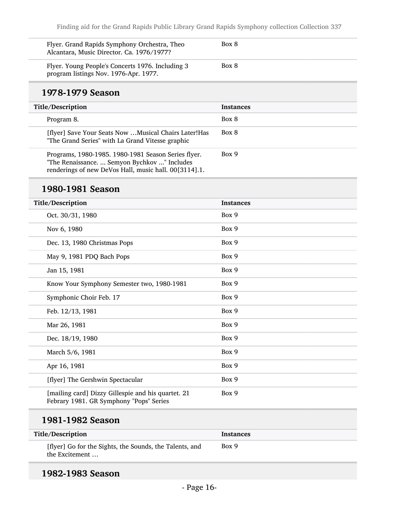| Flyer. Grand Rapids Symphony Orchestra, Theo<br>Alcantara, Music Director. Ca. 1976/1977? | Box 8 |
|-------------------------------------------------------------------------------------------|-------|
| Flyer. Young People's Concerts 1976. Including 3<br>program listings Nov. 1976-Apr. 1977. | Box 8 |

#### 1978-1979 Season

| Title/Description                                                                                                                                            | <b>Instances</b> |
|--------------------------------------------------------------------------------------------------------------------------------------------------------------|------------------|
| Program 8.                                                                                                                                                   | Box 8            |
| [flyer] Save Your Seats Now  Musical Chairs Later! Has<br>"The Grand Series" with La Grand Vitesse graphic                                                   | Box 8            |
| Programs, 1980-1985. 1980-1981 Season Series flyer.<br>"The Renaissance.  Semyon Bychkov " Includes<br>renderings of new DeVos Hall, music hall. 00[3114].1. | Box 9            |

### 1980-1981 Season

| Title/Description                                                                             | <b>Instances</b> |
|-----------------------------------------------------------------------------------------------|------------------|
| Oct. 30/31, 1980                                                                              | Box 9            |
| Nov 6, 1980                                                                                   | Box 9            |
| Dec. 13, 1980 Christmas Pops                                                                  | Box 9            |
| May 9, 1981 PDQ Bach Pops                                                                     | Box 9            |
| Jan 15, 1981                                                                                  | Box 9            |
| Know Your Symphony Semester two, 1980-1981                                                    | Box 9            |
| Symphonic Choir Feb. 17                                                                       | Box 9            |
| Feb. 12/13, 1981                                                                              | Box 9            |
| Mar 26, 1981                                                                                  | Box 9            |
| Dec. 18/19, 1980                                                                              | Box 9            |
| March 5/6, 1981                                                                               | Box 9            |
| Apr 16, 1981                                                                                  | Box 9            |
| [flyer] The Gershwin Spectacular                                                              | Box 9            |
| [mailing card] Dizzy Gillespie and his quartet. 21<br>Febrary 1981. GR Symphony "Pops" Series | Box 9            |
| 1981-1982 Season                                                                              |                  |
| Title/Description                                                                             | <b>Instances</b> |

| THE Description                                                           | mstances |
|---------------------------------------------------------------------------|----------|
| [flyer] Go for the Sights, the Sounds, the Talents, and<br>the Excitement | Box 9    |

### 1982-1983 Season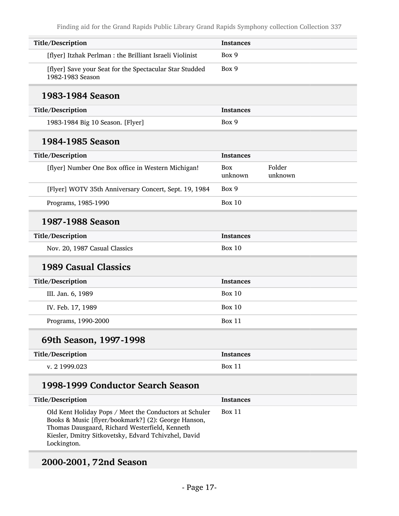| Title/Description                                                                                                                                                                                                                      | <b>Instances</b>      |                   |
|----------------------------------------------------------------------------------------------------------------------------------------------------------------------------------------------------------------------------------------|-----------------------|-------------------|
| [flyer] Itzhak Perlman : the Brilliant Israeli Violinist                                                                                                                                                                               | Box 9                 |                   |
| [flyer] Save your Seat for the Spectacular Star Studded<br>1982-1983 Season                                                                                                                                                            | Box 9                 |                   |
| 1983-1984 Season                                                                                                                                                                                                                       |                       |                   |
| Title/Description                                                                                                                                                                                                                      | <b>Instances</b>      |                   |
| 1983-1984 Big 10 Season. [Flyer]                                                                                                                                                                                                       | Box 9                 |                   |
| 1984-1985 Season                                                                                                                                                                                                                       |                       |                   |
| Title/Description                                                                                                                                                                                                                      | <b>Instances</b>      |                   |
| [flyer] Number One Box office in Western Michigan!                                                                                                                                                                                     | <b>Box</b><br>unknown | Folder<br>unknown |
| [Flyer] WOTV 35th Anniversary Concert, Sept. 19, 1984                                                                                                                                                                                  | Box 9                 |                   |
| Programs, 1985-1990                                                                                                                                                                                                                    | <b>Box 10</b>         |                   |
| 1987-1988 Season                                                                                                                                                                                                                       |                       |                   |
| Title/Description                                                                                                                                                                                                                      | <b>Instances</b>      |                   |
| Nov. 20, 1987 Casual Classics                                                                                                                                                                                                          | <b>Box 10</b>         |                   |
| <b>1989 Casual Classics</b>                                                                                                                                                                                                            |                       |                   |
| Title/Description                                                                                                                                                                                                                      | <b>Instances</b>      |                   |
| III. Jan. 6, 1989                                                                                                                                                                                                                      | Box $10$              |                   |
| IV. Feb. 17, 1989                                                                                                                                                                                                                      | <b>Box 10</b>         |                   |
| Programs, 1990-2000                                                                                                                                                                                                                    | Box 11                |                   |
| 69th Season, 1997-1998                                                                                                                                                                                                                 |                       |                   |
| Title/Description                                                                                                                                                                                                                      | <b>Instances</b>      |                   |
| v. 2 1999.023                                                                                                                                                                                                                          | <b>Box 11</b>         |                   |
| 1998-1999 Conductor Search Season                                                                                                                                                                                                      |                       |                   |
| Title/Description                                                                                                                                                                                                                      | <b>Instances</b>      |                   |
| Old Kent Holiday Pops / Meet the Conductors at Schuler<br>Books & Music [flyer/bookmark?] (2): George Hanson,<br>Thomas Dausgaard, Richard Westerfield, Kenneth<br>Kiesler, Dmitry Sitkovetsky, Edvard Tchivzhel, David<br>Lockington. | Box 11                |                   |

# 2000-2001, 72nd Season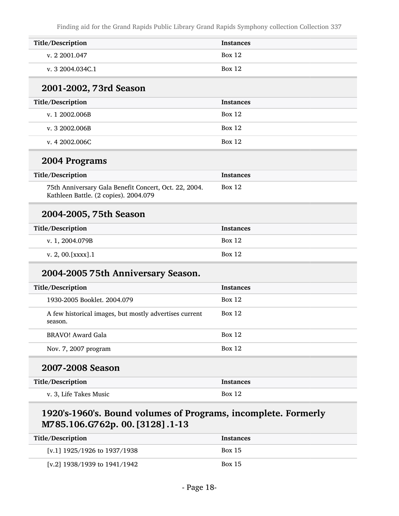| Title/Description      | <b>Instances</b> |
|------------------------|------------------|
| v. 2 2001.047          | Box 12           |
| v. 3 2004.034C.1       | Box 12           |
| 2001-2002, 73rd Season |                  |
|                        |                  |
| Title/Description      | <b>Instances</b> |

| v. 3 2002.006B | <b>Box 12</b> |
|----------------|---------------|
| v. 4 2002.006C | Box 12        |

#### 2004 Programs

| Title/Description                                                                              | Instances     |
|------------------------------------------------------------------------------------------------|---------------|
| 75th Anniversary Gala Benefit Concert, Oct. 22, 2004.<br>Kathleen Battle. (2 copies). 2004.079 | <b>Box 12</b> |

#### 2004-2005, 75th Season

| Title/Description   | <b>Instances</b> |
|---------------------|------------------|
| v. 1, 2004.079B     | <b>Box 12</b>    |
| v. 2, 00. [xxxx]. 1 | <b>Box 12</b>    |

## 2004-2005 75th Anniversary Season.

| Title/Description                                                 | <b>Instances</b> |
|-------------------------------------------------------------------|------------------|
| 1930-2005 Booklet, 2004.079                                       | Box 12           |
| A few historical images, but mostly advertises current<br>season. | Box 12           |
| BRAVO! Award Gala                                                 | Box 12           |
| Nov. 7, 2007 program                                              | Box 12           |
| 2007-2008 Season                                                  |                  |

| Title/Description      | Instances     |
|------------------------|---------------|
| v. 3, Life Takes Music | <b>Box 12</b> |

### 1920's-1960's. Bound volumes of Programs, incomplete. Formerly M785.106.G762p. 00.[3128].1-13

| Title/Description                | <b>Instances</b> |
|----------------------------------|------------------|
| [v.1] $1925/1926$ to $1937/1938$ | <b>Box 15</b>    |
| [v.2] $1938/1939$ to $1941/1942$ | <b>Box 15</b>    |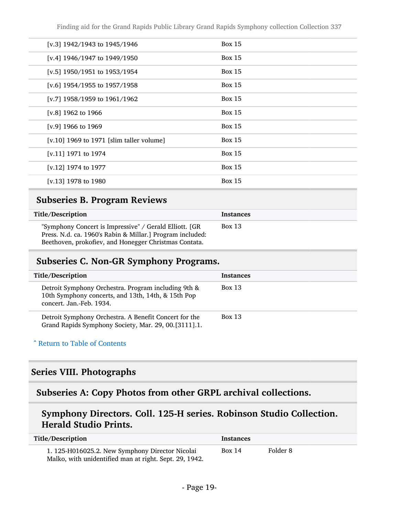| [v.3] $1942/1943$ to $1945/1946$         | <b>Box 15</b> |
|------------------------------------------|---------------|
| [v.4] $1946/1947$ to $1949/1950$         | <b>Box 15</b> |
| [v.5] $1950/1951$ to $1953/1954$         | <b>Box 15</b> |
| [v.6] $1954/1955$ to $1957/1958$         | <b>Box 15</b> |
| [v.7] 1958/1959 to $1961/1962$           | <b>Box 15</b> |
| [v.8] 1962 to 1966                       | <b>Box 15</b> |
| [v.9] 1966 to 1969                       | <b>Box 15</b> |
| [v.10] 1969 to 1971 [slim taller volume] | <b>Box 15</b> |
| [v.11] 1971 to 1974                      | <b>Box 15</b> |
| [v.12] 1974 to 1977                      | Box $15$      |
| [v.13] 1978 to 1980                      | <b>Box 15</b> |

### <span id="page-18-0"></span>Subseries B. Program Reviews

| Title/Description                                                                                                                                                             | <b>Instances</b> |
|-------------------------------------------------------------------------------------------------------------------------------------------------------------------------------|------------------|
| "Symphony Concert is Impressive" / Gerald Elliott. [GR]<br>Press. N.d. ca. 1960's Rabin & Millar.] Program included:<br>Beethoven, prokofiev, and Honegger Christmas Contata. | Box 13           |

#### <span id="page-18-1"></span>Subseries C. Non-GR Symphony Programs.

| Title/Description                                                                                                                     | <b>Instances</b> |
|---------------------------------------------------------------------------------------------------------------------------------------|------------------|
| Detroit Symphony Orchestra. Program including 9th &<br>10th Symphony concerts, and 13th, 14th, & 15th Pop<br>concert. Jan.-Feb. 1934. | <b>Box 13</b>    |
| Detroit Symphony Orchestra. A Benefit Concert for the<br>Grand Rapids Symphony Society, Mar. 29, 00.[3111].1.                         | <b>Box 13</b>    |

#### ^ [Return to Table of Contents](#page-1-0)

#### <span id="page-18-2"></span>Series VIII. Photographs

### <span id="page-18-3"></span>Subseries A: Copy Photos from other GRPL archival collections.

### Symphony Directors. Coll. 125-H series. Robinson Studio Collection. Herald Studio Prints.

| Title/Description                                                                                         | Instances |          |
|-----------------------------------------------------------------------------------------------------------|-----------|----------|
| 1. 125-H016025.2. New Symphony Director Nicolai<br>Malko, with unidentified man at right. Sept. 29, 1942. | Box 14    | Folder 8 |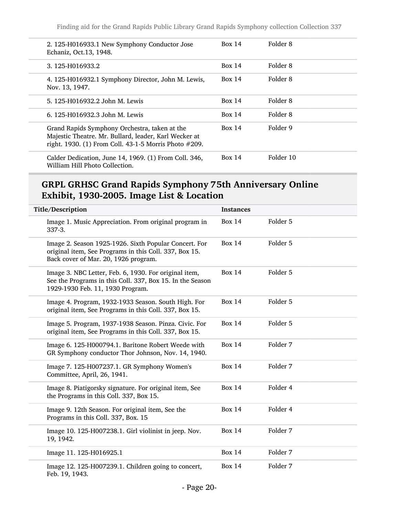| 2. 125-H016933.1 New Symphony Conductor Jose<br>Echaniz, Oct.13, 1948.                                                                                          | Box 14 | Folder 8  |
|-----------------------------------------------------------------------------------------------------------------------------------------------------------------|--------|-----------|
| 3.125-H016933.2                                                                                                                                                 | Box 14 | Folder 8  |
| 4. 125-H016932.1 Symphony Director, John M. Lewis,<br>Nov. 13, 1947.                                                                                            | Box 14 | Folder 8  |
| 5. 125-H016932.2 John M. Lewis                                                                                                                                  | Box 14 | Folder 8  |
| 6. 125-H016932.3 John M. Lewis                                                                                                                                  | Box 14 | Folder 8  |
| Grand Rapids Symphony Orchestra, taken at the<br>Majestic Theatre. Mr. Bullard, leader, Karl Wecker at<br>right. 1930. (1) From Coll. 43-1-5 Morris Photo #209. | Box 14 | Folder 9  |
| Calder Dedication, June 14, 1969. (1) From Coll. 346,<br>William Hill Photo Collection.                                                                         | Box 14 | Folder 10 |

### GRPL GRHSC Grand Rapids Symphony 75th Anniversary Online Exhibit, 1930-2005. Image List & Location

| Title/Description                                                                                                                                       | <b>Instances</b> |          |
|---------------------------------------------------------------------------------------------------------------------------------------------------------|------------------|----------|
| Image 1. Music Appreciation. From original program in<br>$337 - 3.$                                                                                     | <b>Box 14</b>    | Folder 5 |
| Image 2. Season 1925-1926. Sixth Popular Concert. For<br>original item, See Programs in this Coll. 337, Box 15.<br>Back cover of Mar. 20, 1926 program. | <b>Box 14</b>    | Folder 5 |
| Image 3. NBC Letter, Feb. 6, 1930. For original item,<br>See the Programs in this Coll. 337, Box 15. In the Season<br>1929-1930 Feb. 11, 1930 Program.  | <b>Box 14</b>    | Folder 5 |
| Image 4. Program, 1932-1933 Season. South High. For<br>original item, See Programs in this Coll. 337, Box 15.                                           | <b>Box 14</b>    | Folder 5 |
| Image 5. Program, 1937-1938 Season. Pinza. Civic. For<br>original item, See Programs in this Coll. 337, Box 15.                                         | <b>Box 14</b>    | Folder 5 |
| Image 6. 125-H000794.1. Baritone Robert Weede with<br>GR Symphony conductor Thor Johnson, Nov. 14, 1940.                                                | <b>Box 14</b>    | Folder 7 |
| Image 7. 125-H007237.1. GR Symphony Women's<br>Committee, April, 26, 1941.                                                                              | <b>Box 14</b>    | Folder 7 |
| Image 8. Piatigorsky signature. For original item, See<br>the Programs in this Coll. 337, Box 15.                                                       | <b>Box 14</b>    | Folder 4 |
| Image 9. 12th Season. For original item, See the<br>Programs in this Coll. 337, Box. 15                                                                 | <b>Box 14</b>    | Folder 4 |
| Image 10. 125-H007238.1. Girl violinist in jeep. Nov.<br>19, 1942.                                                                                      | <b>Box 14</b>    | Folder 7 |
| Image 11. 125-H016925.1                                                                                                                                 | <b>Box 14</b>    | Folder 7 |
| Image 12. 125-H007239.1. Children going to concert,<br>Feb. 19, 1943.                                                                                   | <b>Box 14</b>    | Folder 7 |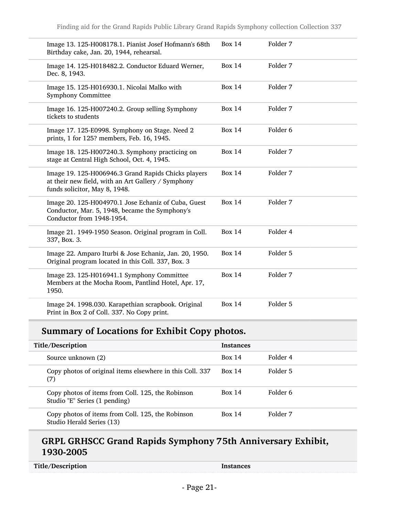| Image 13. 125-H008178.1. Pianist Josef Hofmann's 68th<br>Birthday cake, Jan. 20, 1944, rehearsal.                                          | <b>Box 14</b> | Folder 7            |
|--------------------------------------------------------------------------------------------------------------------------------------------|---------------|---------------------|
| Image 14. 125-H018482.2. Conductor Eduard Werner,<br>Dec. 8, 1943.                                                                         | <b>Box 14</b> | Folder 7            |
| Image 15. 125-H016930.1. Nicolai Malko with<br><b>Symphony Committee</b>                                                                   | <b>Box 14</b> | Folder 7            |
| Image 16. 125-H007240.2. Group selling Symphony<br>tickets to students                                                                     | <b>Box 14</b> | Folder 7            |
| Image 17. 125-E0998. Symphony on Stage. Need 2<br>prints, 1 for 125? members, Feb. 16, 1945.                                               | <b>Box 14</b> | Folder <sub>6</sub> |
| Image 18. 125-H007240.3. Symphony practicing on<br>stage at Central High School, Oct. 4, 1945.                                             | <b>Box 14</b> | Folder 7            |
| Image 19. 125-H006946.3 Grand Rapids Chicks players<br>at their new field, with an Art Gallery / Symphony<br>funds solicitor, May 8, 1948. | <b>Box 14</b> | Folder 7            |
| Image 20. 125-H004970.1 Jose Echaniz of Cuba, Guest<br>Conductor, Mar. 5, 1948, became the Symphony's<br>Conductor from 1948-1954.         | <b>Box 14</b> | Folder 7            |
| Image 21. 1949-1950 Season. Original program in Coll.<br>337, Box. 3.                                                                      | <b>Box 14</b> | Folder 4            |
| Image 22. Amparo Iturbi & Jose Echaniz, Jan. 20, 1950.<br>Original program located in this Coll. 337, Box. 3                               | <b>Box 14</b> | Folder 5            |
| Image 23. 125-H016941.1 Symphony Committee<br>Members at the Mocha Room, Pantlind Hotel, Apr. 17,<br>1950.                                 | <b>Box 14</b> | Folder 7            |
| Image 24. 1998.030. Karapethian scrapbook. Original<br>Print in Box 2 of Coll. 337. No Copy print.                                         | <b>Box 14</b> | Folder 5            |

## Summary of Locations for Exhibit Copy photos.

| Title/Description |                                                                                    | <b>Instances</b> |          |
|-------------------|------------------------------------------------------------------------------------|------------------|----------|
|                   | Source unknown (2)                                                                 | <b>Box 14</b>    | Folder 4 |
|                   | Copy photos of original items elsewhere in this Coll. 337<br>(7)                   | <b>Box 14</b>    | Folder 5 |
|                   | Copy photos of items from Coll. 125, the Robinson<br>Studio "E" Series (1 pending) | Box 14           | Folder 6 |
|                   | Copy photos of items from Coll. 125, the Robinson<br>Studio Herald Series (13)     | Box 14           | Folder 7 |

### GRPL GRHSCC Grand Rapids Symphony 75th Anniversary Exhibit, 1930-2005

| Title/Description | Instances |
|-------------------|-----------|
|-------------------|-----------|